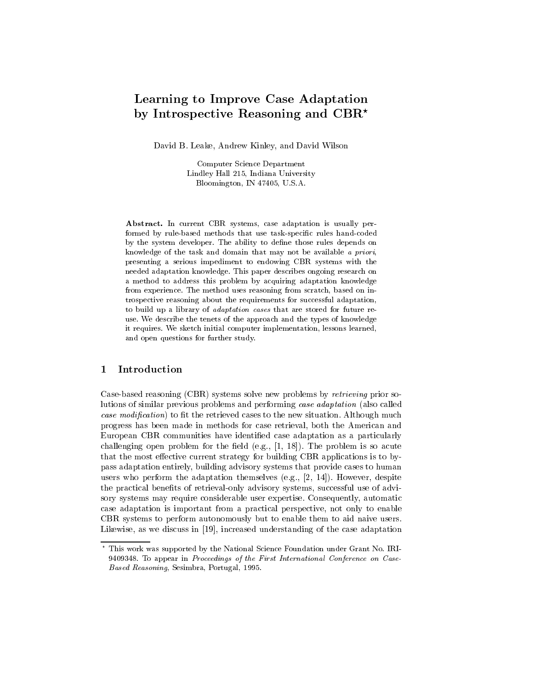# Learning to Improve Case Adaptation by Introspective Reasoning and CBR $^{\star}$

David B. Leake, Andrew Kinley, and David Wilson

Computer Science Department Lindley Hall 215, Indiana University Bloomington, IN 47405, U.S.A.

Abstract. In current CBR systems, case adaptation is usually performed by rule-based methods that use task-specific rules hand-coded by the system developer. The ability to define those rules depends on knowledge of the task and domain that may not be available a priori, presenting a serious impediment to endowing CBR systems with the needed adaptation knowledge. This paper describes ongoing research on a method to address this problem by acquiring adaptation knowledge from experience. The method uses reasoning from scratch, based on introspective reasoning about the requirements for successful adaptation, to build up a library of adaptation cases that are stored for future reuse. We describe the tenets of the approach and the types of knowledge it requires. We sketch initial computer implementation, lessons learned, and open questions for further study.

#### 1 Introduction

Case-based reasoning (CBR) systems solve new problems by retrieving prior solutions of similar previous problems and performing case adaptation (also called case modification) to fit the retrieved cases to the new situation. Although much progress has been made in methods for case retrieval, both the American and European CBR communities have identified case adaptation as a particularly challenging open problem for the field (e.g.,  $[1, 18]$ ). The problem is so acute that the most effective current strategy for building CBR applications is to bypass adaptation entirely, building advisory systems that provide cases to human users who perform the adaptation themselves (e.g., [2, 14]). However, despite the practical benefits of retrieval-only advisory systems, successful use of advisory systems may require considerable user expertise. Consequently, automatic case adaptation is important from a practical perspective, not only to enable CBR systems to perform autonomously but to enable them to aid naive users. Likewise, as we discuss in [19], increased understanding of the case adaptation

<sup>?</sup> This work was supported by the National Science Foundation under Grant No. IRI-9409348. To appear in Proceedings of the First International Conference on Case-Based Reasoning, Sesimbra, Portugal, 1995.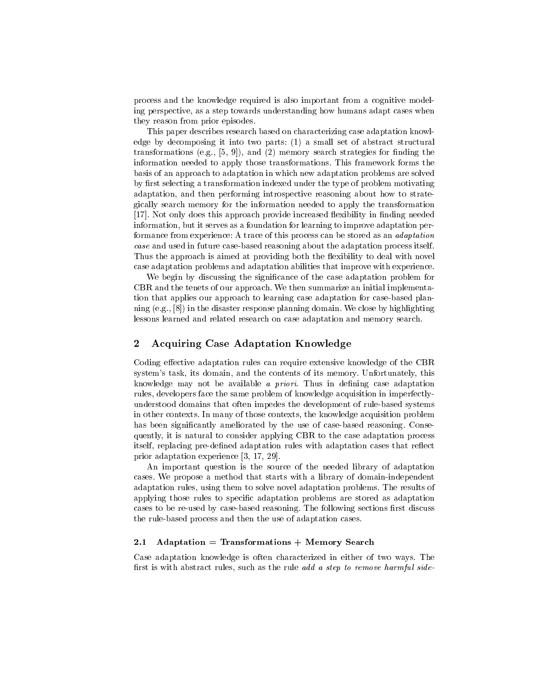process and the knowledge required is also important from a cognitive modeling perspective, as a step towards understanding how humans adapt cases when they reason from prior episodes.

This paper describes research based on characterizing case adaptation knowledge by decomposing it into two parts: (1) a small set of abstract structural transformations (e.g.,  $[5, 9]$ ), and  $(2)$  memory search strategies for finding the information needed to apply those transformations. This framework forms the basis of an approach to adaptation in which new adaptation problems are solved by first selecting a transformation indexed under the type of problem motivating adaptation, and then performing introspective reasoning about how to strategically search memory for the information needed to apply the transformation [17]. Not only does this approach provide increased flexibility in finding needed information, but it serves as a foundation for learning to improve adaptation performance from experience: A trace of this process can be stored as an adaptation case and used in future case-based reasoning about the adaptation process itself. Thus the approach is aimed at providing both the flexibility to deal with novel case adaptation problems and adaptation abilities that improve with experience.

We begin by discussing the signicance of the case adaptation problem for CBR and the tenets of our approach. We then summarize an initial implementation that applies our approach to learning case adaptation for case-based planning (e.g., [8]) in the disaster response planning domain. We close by highlighting lessons learned and related research on case adaptation and memory search.

#### 2 Acquiring Case Adaptation Knowledge

Coding effective adaptation rules can require extensive knowledge of the CBR system's task, its domain, and the contents of its memory. Unfortunately, this knowledge may not be available  $\alpha$  priori. Thus in defining case adaptation rules, developers face the same problem of knowledge acquisition in imperfectlyunderstood domains that often impedes the development of rule-based systems in other contexts. In many of those contexts, the knowledge acquisition problem has been significantly ameliorated by the use of case-based reasoning. Consequently, it is natural to consider applying CBR to the case adaptation process itself, replacing pre-defined adaptation rules with adaptation cases that reflect prior adaptation experience [3, 17, 29].

An important question is the source of the needed library of adaptation cases. We propose a method that starts with a library of domain-independent adaptation rules, using them to solve novel adaptation problems. The results of applying those rules to specic adaptation problems are stored as adaptation cases to be re-used by case-based reasoning. The following sections first discuss the rule-based process and then the use of adaptation cases.

#### 2.1 Adaptation = Transformations  $+$  Memory Search

Case adaptation knowledge is often characterized in either of two ways. The first is with abstract rules, such as the rule  $add\ a\ step\ to\ remove\ harmful\ side-$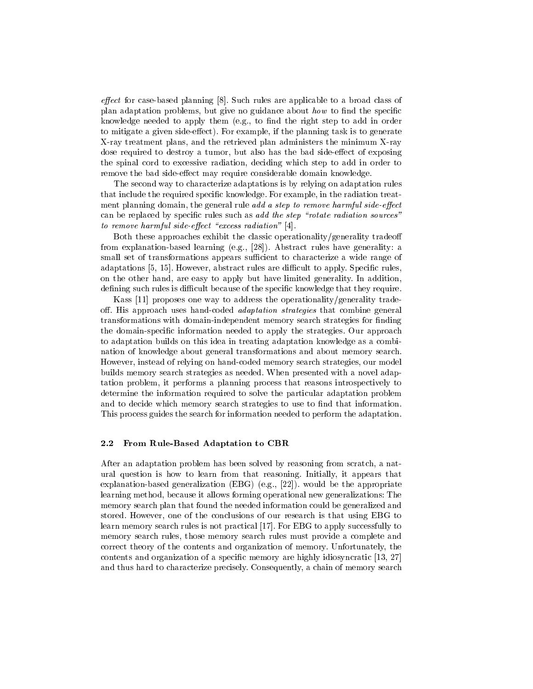effect for case-based planning  $[8]$ . Such rules are applicable to a broad class of plan adaptation problems, but give no guidance about  $how$  to find the specific knowledge needed to apply them  $(e.g., to find the right step to add in order$ to mitigate a given side-effect). For example, if the planning task is to generate X-ray treatment plans, and the retrieved plan administers the minimum X-ray dose required to destroy a tumor, but also has the bad side-effect of exposing the spinal cord to excessive radiation, deciding which step to add in order to remove the bad side-effect may require considerable domain knowledge.

The second way to characterize adaptations is by relying on adaptation rules that include the required specic knowledge. For example, in the radiation treatment planning domain, the general rule  $add$  a step to remove harmful side-effect can be replaced by specific rules such as add the step "rotate radiation sources" to remove harmful side-effect "excess radiation"  $[4]$ .

Both these approaches exhibit the classic operationality/generality tradeoff from explanation-based learning (e.g., [28]). Abstract rules have generality: a small set of transformations appears sufficient to characterize a wide range of adaptations [5, 15]. However, abstract rules are difficult to apply. Specific rules, on the other hand, are easy to apply but have limited generality. In addition, defining such rules is difficult because of the specific knowledge that they require.

Kass [11] proposes one way to address the operationality/generality tradeoff. His approach uses hand-coded *adaptation strategies* that combine general transformations with domain-independent memory search strategies for finding the domain-specic information needed to apply the strategies. Our approach to adaptation builds on this idea in treating adaptation knowledge as a combination of knowledge about general transformations and about memory search. However, instead of relying on hand-coded memory search strategies, our model builds memory search strategies as needed. When presented with a novel adaptation problem, it performs a planning process that reasons introspectively to determine the information required to solve the particular adaptation problem and to decide which memory search strategies to use to find that information. This process guides the search for information needed to perform the adaptation.

#### 2.2 From Rule-Based Adaptation to CBR

After an adaptation problem has been solved by reasoning from scratch, a natural question is how to learn from that reasoning. Initially, it appears that explanation-based generalization (EBG) (e.g., [22]). would be the appropriate learning method, because it allows forming operational new generalizations: The memory search plan that found the needed information could be generalized and stored. However, one of the conclusions of our research is that using EBG to learn memory search rules is not practical [17]. For EBG to apply successfully to memory search rules, those memory search rules must provide a complete and correct theory of the contents and organization of memory. Unfortunately, the contents and organization of a specic memory are highly idiosyncratic [13, 27] and thus hard to characterize precisely. Consequently, a chain of memory search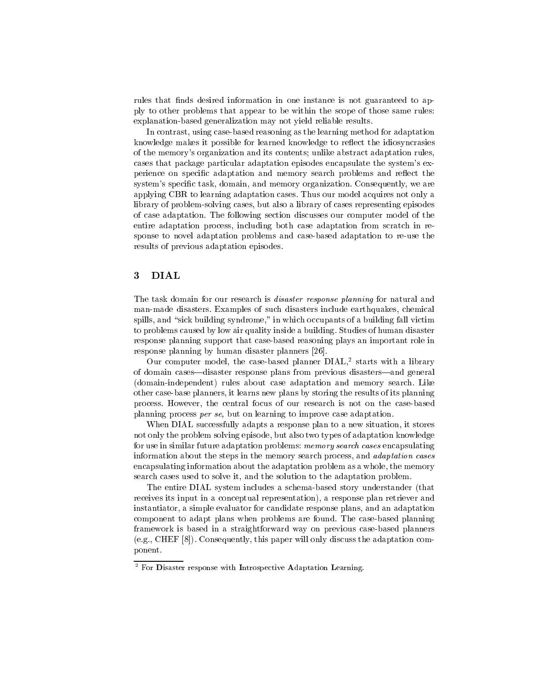rules that finds desired information in one instance is not guaranteed to apply to other problems that appear to be within the scope of those same rules: explanation-based generalization may not yield reliable results.

In contrast, using case-based reasoning as the learning method for adaptation knowledge makes it possible for learned knowledge to reflect the idiosyncrasies of the memory's organization and its contents; unlike abstract adaptation rules, cases that package particular adaptation episodes encapsulate the system's experience on specific adaptation and memory search problems and reflect the system's specific task, domain, and memory organization. Consequently, we are applying CBR to learning adaptation cases. Thus our model acquires not only a library of problem-solving cases, but also a library of cases representing episodes of case adaptation. The following section discusses our computer model of the entire adaptation process, including both case adaptation from scratch in response to novel adaptation problems and case-based adaptation to re-use the results of previous adaptation episodes.

#### 3 DIAL

The task domain for our research is *disaster response planning* for natural and man-made disasters. Examples of such disasters include earthquakes, chemical spills, and "sick building syndrome," in which occupants of a building fall victim to problems caused by low air quality inside a building. Studies of human disaster response planning support that case-based reasoning plays an important role in response planning by human disaster planners [26].

Our computer model, the case-based planner DIAL,2 starts with a library of domain cases—disaster response plans from previous disasters—and general (domain-independent) rules about case adaptation and memory search. Like other case-base planners, it learns new plans by storing the results of its planning process. However, the central focus of our research isnot on the case-based planning process per se, but on learning to improve case adaptation.

When DIAL successfully adapts a response plan to a new situation, it stores not only the problem solving episode, but also two types of adaptation knowledge for use in similar future adaptation problems: memory search cases encapsulating information about the steps in the memory search process, and adaptation cases encapsulating information about the adaptation problem as a whole, the memory search cases used to solve it, and the solution to the adaptation problem.

The entire DIAL system includes a schema-based story understander (that receives its input in a conceptual representation), a response plan retriever and instantiator, a simple evaluator for candidate response plans, and an adaptation component to adapt plans when problems are found. The case-based planning framework is based in a straightforward way on previous case-based planners (e.g., CHEF [8]). Consequently, this paper will only discuss the adaptation component.

 $^2$  For Disaster response with Introspective Adaptation Learning.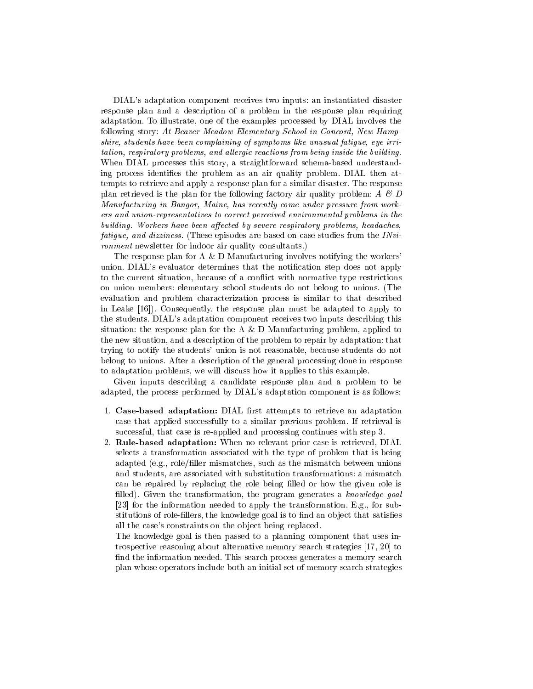DIAL's adaptation component receives two inputs: an instantiated disaster response plan and a description of a problem in the response plan requiring adaptation. To illustrate, one of the examples processed by DIAL involves the following story: At Beaver Meadow Elementary School in Concord, New Hampshire, students have been complaining of symptoms like unusual fatigue, eye irritation, respiratory problems, and allergic reactions from being inside the building. When DIAL processes this story, a straightforward schema-based understanding process identifies the problem as an air quality problem. DIAL then attempts to retrieve and apply a response plan for a similar disaster. The response plan retrieved is the plan for the following factory air quality problem:  $A \& D$ Manufacturing in Bangor, Maine, has recently come under pressure from workers and union-representatives to correct perceived environmental problems in the building. Workers have been affected by severe respiratory problems, headaches, fatigue, and dizziness. (These episodes are based on case studies from the INvironment newsletter for indoor air quality consultants.)

The response plan for A  $\&$  D Manufacturing involves notifying the workers' union. DIAL's evaluator determines that the notification step does not apply to the current situation, because of a con
ict with normative type restrictions on union members: elementary school students do not belong to unions. (The evaluation and problem characterization process is similar to that described in Leake [16]). Consequently, the response plan must be adapted to apply to the students. DIAL's adaptation component receives two inputs describing this situation: the response plan for the A & D Manufacturing problem, applied to the new situation, and a description of the problem to repair by adaptation: that trying to notify the students' union is not reasonable, because students do not belong to unions. After a description of the general processing done in response to adaptation problems, we will discuss how it applies to this example.

Given inputs describing a candidate response plan and a problem to be adapted, the process performed by DIAL's adaptation component is as follows:

- 1. Case-based adaptation: DIAL first attempts to retrieve an adaptation case that applied successfully to a similar previous problem. If retrieval is successful, that case is re-applied and processing continues with step 3.
- 2. Rule-based adaptation: When no relevant prior case is retrieved, DIAL selects a transformation associated with the type of problem that is being adapted (e.g., role/filler mismatches, such as the mismatch between unions and students, are associated with substitution transformations: a mismatch can be repaired by replacing the role being filled or how the given role is filled). Given the transformation, the program generates a knowledge goal [23] for the information needed to apply the transformation. E.g., for substitutions of role-fillers, the knowledge goal is to find an object that satisfies all the case's constraints on the ob ject being replaced.

The knowledge goal is then passed to a planning component that uses introspective reasoning about alternative memory search strategies [17, 20] to find the information needed. This search process generates a memory search plan whose operators include both an initial set of memory search strategies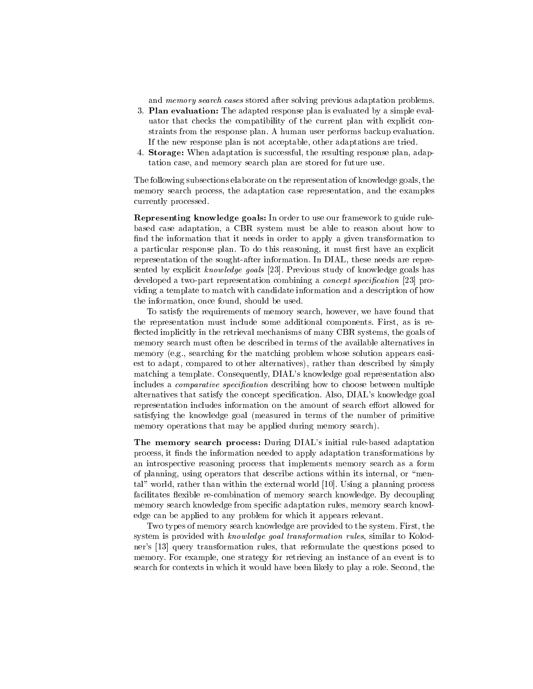and memory search cases stored after solving previous adaptation problems.

- 3. Plan evaluation: The adapted response plan is evaluated by a simple evaluator that checks the compatibility of the current plan with explicit constraints from the response plan. A human user performs backup evaluation. If the new response plan is not acceptable, other adaptations are tried.
- 4. Storage: When adaptation is successful, the resulting response plan, adaptation case, and memory search plan are stored for future use.

The following subsections elaborate on the representation of knowledge goals, the memory search process, the adaptation case representation, and the examples currently processed.

Representing knowledge goals: In order to use our framework to guide rulebased case adaptation, a CBR system must be able to reason about how to find the information that it needs in order to apply a given transformation to a particular response plan. To do this reasoning, it must first have an explicit representation of the sought-after information. In DIAL, these needs are represented by explicit knowledge goals [23]. Previous study of knowledge goals has developed a two-part representation combining a *concept specification* [23] providing a template to match with candidate information and a description of how the information, once found, should be used.

To satisfy the requirements of memory search, however, we have found that the representation must include some additional components. First, as is re ected implicitly in the retrieval mechanisms of many CBR systems, the goals of memory search must often be described in terms of the available alternatives in memory (e.g., searching for the matching problem whose solution appears easiest to adapt, compared to other alternatives), rather than described by simply matching a template. Consequently, DIAL's knowledge goal representation also includes a *comparative specification* describing how to choose between multiple alternatives that satisfy the concept specication. Also, DIAL's knowledge goal representation includes information on the amount of search effort allowed for satisfying the knowledge goal (measured in terms of the number of primitive memory operations that may be applied during memory search).

The memory search process: During DIAL's initial rule-based adaptation process, it finds the information needed to apply adaptation transformations by an introspective reasoning process that implements memory search as a form of planning, using operators that describe actions within its internal, or "mental" world, rather than within the external world [10]. Using a planning process facilitates flexible re-combination of memory search knowledge. By decoupling memory search knowledge from specic adaptation rules, memory search knowledge can be applied to any problem for which it appears relevant.

Two types of memory search knowledge are provided to the system. First, the system is provided with knowledge goal transformation rules, similar to Kolodner's [13] query transformation rules, that reformulate the questions posed to memory. For example, one strategy for retrieving an instance of an event is to search for contexts in which it would have been likely to play a role. Second, the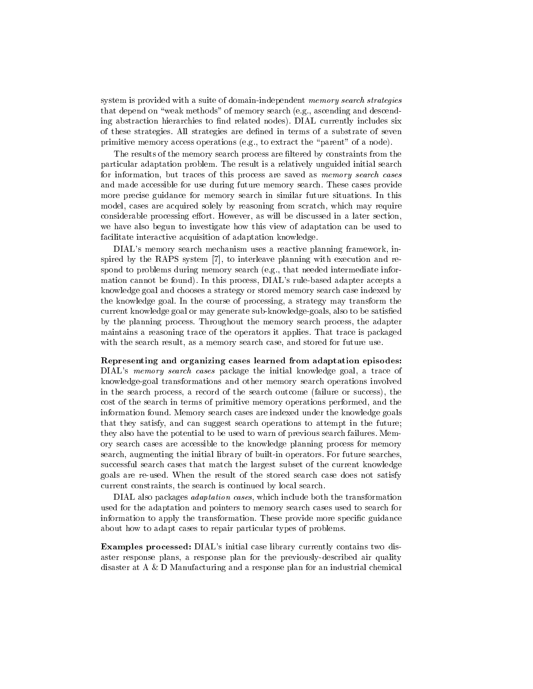system is provided with a suite of domain-independent memory search strategies that depend on \weak methods" of memory search (e.g., ascending and descending abstraction hierarchies to find related nodes). DIAL currently includes six of these strategies. All strategies are defined in terms of a substrate of seven primitive memory access operations (e.g., to extract the "parent" of a node).

The results of the memory search process are filtered by constraints from the particular adaptation problem. The result is a relatively unguided initial search for information, but traces of this process are saved as memory search cases and made accessible for use during future memory search. These cases provide more precise guidance for memory search in similar future situations. In this model, cases are acquired solely by reasoning from scratch, which may require considerable processing effort. However, as will be discussed in a later section, we have also begun to investigate how this view of adaptation can be used to facilitate interactive acquisition of adaptation knowledge.

DIAL's memory search mechanism uses a reactive planning framework, inspired by the RAPS system [7], to interleave planning with execution and respond to problems during memory search (e.g., that needed intermediate information cannot be found). In this process, DIAL's rule-based adapter accepts a knowledge goal and chooses a strategy or stored memory search case indexed by the knowledge goal. In the course of processing, a strategy may transform the current knowledge goal or may generate sub-knowledge-goals, also to be satised by the planning process. Throughout the memory search process, the adapter maintains a reasoning trace of the operators it applies. That trace is packaged with the search result, as a memory search case, and stored for future use.

Representing and organizing cases learned from adaptation episodes: DIAL's *memory search cases* package the initial knowledge goal, a trace of knowledge-goal transformations and other memory search operations involved in the search process, a record of the search outcome (failure or success), the cost of the search in terms of primitive memory operations performed, and the information found. Memory search cases are indexed under the knowledge goals that they satisfy, and can suggest search operations to attempt in the future; they also have the potential to be used to warn of previous search failures. Memory search cases are accessible to the knowledge planning process for memory search, augmenting the initial library of built-in operators. For future searches, successful search cases that match the largest subset of the current knowledge goals are re-used. When the result of the stored search case does not satisfy current constraints, the search is continued by local search.

DIAL also packages adaptation cases, which include both the transformation used for the adaptation and pointers to memory search cases used to search for information to apply the transformation. These provide more specific guidance about how to adapt cases to repair particular types of problems.

Examples processed: DIAL's initial case library currently contains two disaster response plans, a response plan for the previously-described air quality disaster at A & D Manufacturing and a response plan for an industrial chemical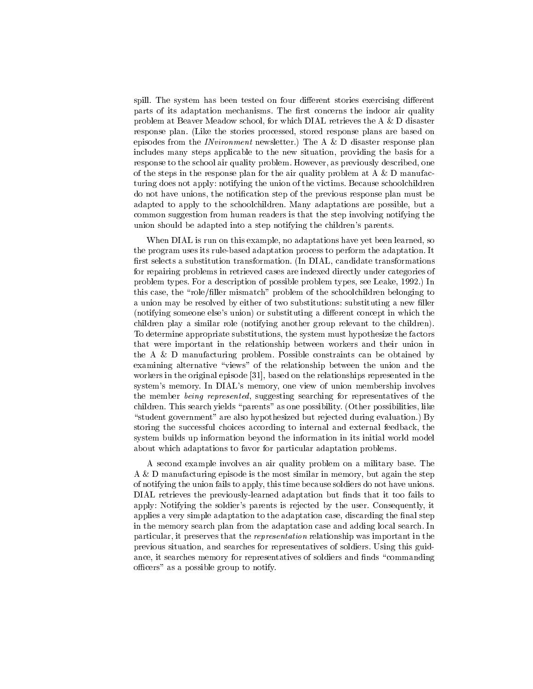spill. The system has been tested on four different stories exercising different parts of its adaptation mechanisms. The first concerns the indoor air quality problem at Beaver Meadow school, for which DIAL retrieves the A & D disaster response plan. (Like the stories processed, stored response plans are based on episodes from the INvironment newsletter.) The A & D disaster response plan includes many steps applicable to the new situation, providing the basis for a response to the school air quality problem. However, as previously described, one of the steps in the response plan for the air quality problem at  $A \& D$  manufacturing does not apply: notifying the union of the victims. Because schoolchildren do not have unions, the notication step of the previous response plan must be adapted to apply to the schoolchildren. Many adaptations are possible, but a common suggestion from human readers is that the step involving notifying the union should be adapted into a step notifying the children's parents.

When DIAL is run on this example, no adaptations have yet been learned, so the program uses its rule-based adaptation process to perform the adaptation. It first selects a substitution transformation. (In DIAL, candidate transformations for repairing problems in retrieved cases are indexed directly under categories of problem types. For a description of possible problem types, see Leake, 1992.) In this case, the "role/filler mismatch" problem of the schoolchildren belonging to a union may be resolved by either of two substitutions: substituting a new filler (notifying someone else's union) or substituting a different concept in which the children play a similar role (notifying another group relevant to the children). To determine appropriate substitutions, the system must hypothesize the factors that were important in the relationship between workers and their union in the A & D manufacturing problem. Possible constraints can be obtained by examining alternative "views" of the relationship between the union and the workers in the original episode [31], based on the relationships represented in the system's memory. In DIAL's memory, one view of union membership involves the member being represented, suggesting searching for representatives of the children. This search yields "parents" as one possibility. (Other possibilities, like "student government" are also hypothesized but rejected during evaluation.) By storing the successful choices according to internal and external feedback, the system builds up information beyond the information in its initial world model about which adaptations to favor for particular adaptation problems.

A second example involves an air quality problem on amilitary base. The A & D manufacturing episode is the most similar in memory, but again the step of notifying the union fails to apply, this time because soldiers do not have unions. DIAL retrieves the previously-learned adaptation but finds that it too fails to apply: Notifying the soldier's parents is rejected by the user. Consequently, it applies a very simple adaptation to the adaptation case, discarding the final step in the memory search plan from the adaptation case and adding local search. In particular, it preserves that the representation relationship was important in the previous situation, and searches for representatives of soldiers. Using this guidance, it searches memory for representatives of soldiers and finds "commanding officers" as a possible group to notify.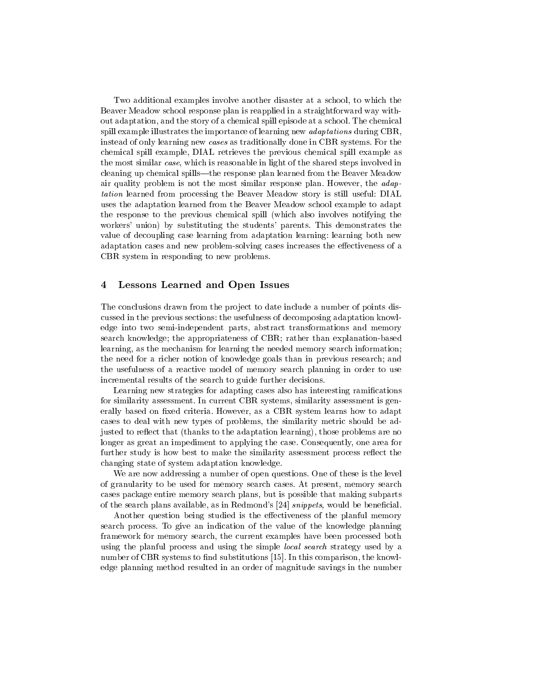Two additional examples involve another disaster at a school, to which the Beaver Meadow school response plan is reapplied in a straightforward way without adaptation, and the story of a chemical spill episode at a school. The chemical spill example illustrates the importance of learning new adaptations during CBR, instead of only learning new cases as traditionally done in CBR systems. For the chemical spill example, DIAL retrieves the previous chemical spill example as the most similar case, which is reasonable in light of the shared steps involved in cleaning up chemical spills—the response plan learned from the Beaver Meadow air quality problem is not the most similar response plan. However, the adaptation learned from processing the Beaver Meadow story is still useful: DIAL uses the adaptation learned from the Beaver Meadow school example to adapt the response to the previous chemical spill (which also involves notifying the workers' union) by substituting the students' parents. This demonstrates the value of decoupling case learning from adaptation learning: learning both new adaptation cases and new problem-solving cases increases the effectiveness of a CBR system in responding to new problems.

### 4 Lessons Learned and Open Issues

The conclusions drawn from the project to date include a number of points discussed in the previous sections: the usefulness of decomposing adaptation knowledge into two semi-independent parts, abstract transformations and memory search knowledge; the appropriateness of CBR; rather than explanation-based learning, as the mechanism for learning the needed memory search information; the need for a richer notion of knowledge goals than in previous research; and the usefulness of a reactive model of memory search planning in order to use incremental results of the search to guide further decisions.

Learning new strategies for adapting cases also has interesting ramications for similarity assessment. In current CBR systems, similarity assessment is generally based on fixed criteria. However, as a CBR system learns how to adapt cases to deal with new types of problems, the similarity metric should be adjusted to reflect that (thanks to the adaptation learning), those problems are no longer as great an impediment to applying the case. Consequently, one area for further study is how best to make the similarity assessment process reflect the changing state of system adaptation knowledge.

We are now addressing a number of open questions. One of these is the level of granularity to be used for memory search cases. At present, memory search cases package entire memory search plans, but is possible that making subparts of the search plans available, as in Redmond's  $[24]$  *snippets*, would be beneficial.

Another question being studied is the effectiveness of the planful memory search process. To give an indication of the value of the knowledge planning framework for memory search, the current examples have been processed both using the planful process and using the simple *local search* strategy used by a number of CBR systems to find substitutions  $[15]$ . In this comparison, the knowledge planning method resulted in an order of magnitude savings in the number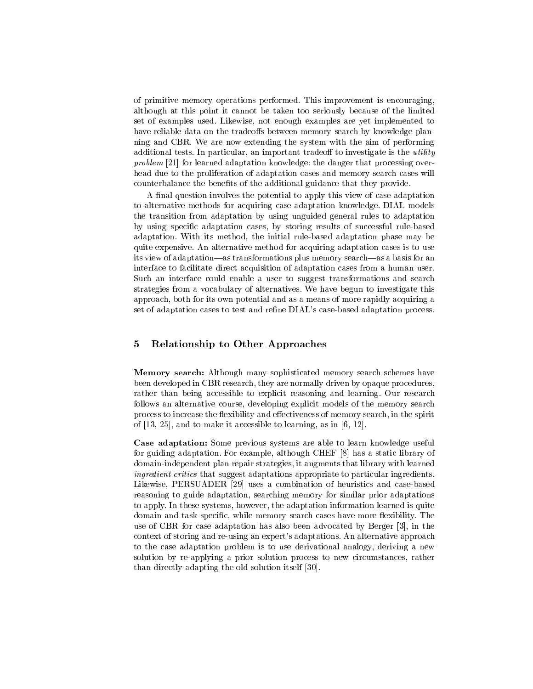of primitive memory operations performed. This improvement is encouraging, although at this point it cannot be taken too seriously because of the limited set of examples used. Likewise, not enough examples are yet implemented to have reliable data on the tradeoffs between memory search by knowledge planning and CBR. We are now extending the system with the aim of performing additional tests. In particular, an important tradeoff to investigate is the utility problem [21] for learned adaptation knowledge: the danger that processing overhead due to the proliferation of adaptation cases and memory search cases will counterbalance the benefits of the additional guidance that they provide.

A final question involves the potential to apply this view of case adaptation to alternative methods for acquiring case adaptation knowledge. DIAL models the transition from adaptation by using unguided general rules to adaptation by using specic adaptation cases, by storing results of successful rule-based adaptation. With its method, the initial rule-based adaptation phase may be quite expensive. An alternative method for acquiring adaptation cases is to use its view of adaptation—as transformations plus memory search—as a basis for an interface to facilitate direct acquisition of adaptation cases from a human user. Such an interface could enable a user to suggest transformations and search strategies from a vocabulary of alternatives. We have begun to investigate this approach, both for its own potential and as a means of more rapidly acquiring a set of adaptation cases to test and refine DIAL's case-based adaptation process.

## 5 Relationship to Other Approaches

Memory search: Although many sophisticated memory search schemes have been developed in CBR research, they are normally driven by opaque procedures, rather than being accessible to explicit reasoning and learning. Our research follows an alternative course, developing explicit models of the memory search process to increase the flexibility and effectiveness of memory search, in the spirit of [13, 25], and to make it accessible to learning, as in [6, 12].

Case adaptation: Some previous systems are able to learn knowledge useful for guiding adaptation. For example, although CHEF [8] has a static library of domain-independent plan repair strategies, it augments that library with learned ingredient critics that suggest adaptations appropriate to particular ingredients. Likewise, PERSUADER [29] uses a combination of heuristics and case-based reasoning to guide adaptation, searching memory for similar prior adaptations to apply. In these systems, however, the adaptation information learned is quite domain and task specific, while memory search cases have more flexibility. The use of CBR for case adaptation has also been advocated by Berger [3], in the context of storing and re-using an expert's adaptations. An alternative approach to the case adaptation problem is touse derivational analogy, deriving a new solution by re-applying a prior solution process to new circumstances, rather than directly adapting the old solution itself [30].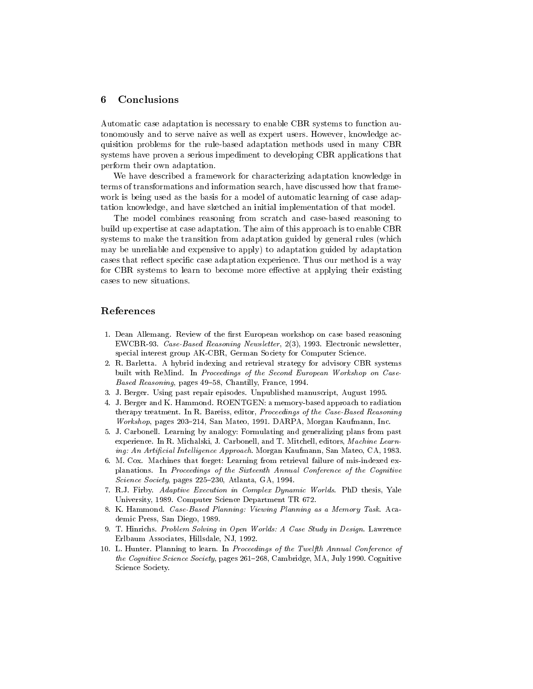#### **Conclusions** 6

Automatic case adaptation is necessary to enable CBR systems to function autonomously and to serve naive as well as expert users. However, knowledge acquisition problems for the rule-based adaptation methods used in many CBR systems have proven a serious impediment to developing CBR applications that perform their own adaptation.

We have described a framework for characterizing adaptation knowledge in terms of transformations and information search, have discussed how that frame work is being used as the basis for a model of automatic learning of case adaptation knowledge, and have sketched an initial implementation of that model.

The model combines reasoning from scratch and case-based reasoning to build up expertise at case adaptation. The aim of this approach is to enable CBR systems to make the transition from adaptation guided by general rules (which may be unreliable and expensive to apply) to adaptation guided by adaptation cases that reflect specific case adaptation experience. Thus our method is a way for CBR systems to learn to become more effective at applying their existing cases to new situations.

#### References

- 1. Dean Allemang. Review of the first European workshop on case based reasoning EWCBR-93. Case-Based Reasoning Newsletter, 2(3), 1993. Electronic newsletter, special interest group AK-CBR, German Society for Computer Science.
- 2. R. Barletta. A hybrid indexing and retrieval strategy for advisory CBR systems built with ReMind. In Proceedings of the Second European Workshop on Case-Based Reasoning, pages 49-58, Chantilly, France, 1994.
- 3. J. Berger. Using past repair episodes. Unpublished manuscript, August 1995.
- 4. J. Berger and K. Hammond. ROENTGEN: a memory-based approach to radiation therapy treatment. In R. Bareiss, editor, Proceedings of the Case-Based Reasoning  $Workshop$ , pages 203–214, San Mateo, 1991. DARPA, Morgan Kaufmann, Inc.
- 5. J. Carbonell. Learning by analogy: Formulating and generalizing plans from past experience. In R. Michalski, J. Carbonell, and T. Mitchell, editors, Machine Learning: An Artificial Intelligence Approach. Morgan Kaufmann, San Mateo, CA, 1983.
- 6. M. Cox. Machines that forget: Learning from retrieval failure of mis-indexed explanations. In Proceedings of the Sixteenth Annual Conference of the Cognitive  $Science Society$ , pages 225-230, Atlanta, GA, 1994.
- 7. R.J. Firby. Adaptive Execution in Complex Dynamic Worlds. PhD thesis, Yale University, 1989. Computer Science Department TR 672.
- 8. K. Hammond. Case-Based Planning: Viewing Planning as a Memory Task. Academic Press, San Diego, 1989.
- 9. T. Hinrichs. Problem Solving in Open Worlds: A Case Study in Design. Lawrence Erlbaum Associates, Hillsdale, NJ, 1992.
- 10. L. Hunter. Planning to learn. In Proceedings of the Twelfth Annual Conference of the Cognitive Science Society, pages 261-268, Cambridge, MA, July 1990. Cognitive Science Society.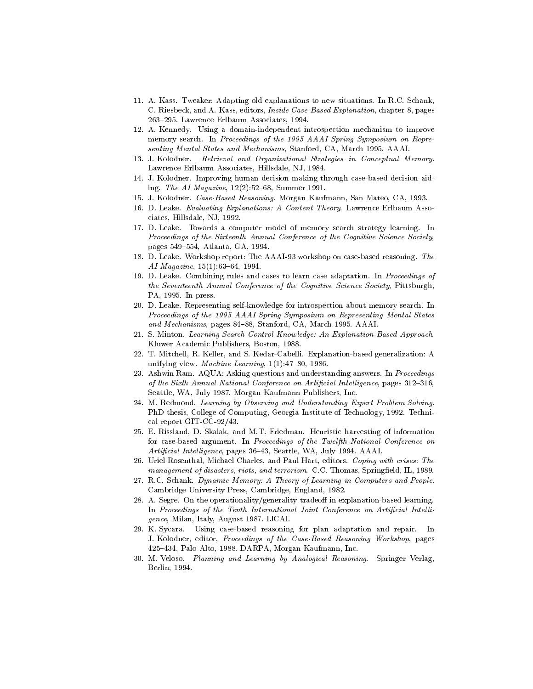- 11. A. Kass. Tweaker: Adapting old explanations to new situations. In R.C. Schank, C. Riesbeck, and A. Kass, editors, *Inside Case-Based Explanation*, chapter 8, pages 263{295. Lawrence Erlbaum Associates, 1994.
- 12. A. Kennedy. Using a domain-independent introspection mechanism to improve memory search. In Proceedings of the 1995 AAAI Spring Symposium on Representing Mental States and Mechanisms, Stanford, CA, March 1995. AAAI.
- 13. J. Kolodner. Retrieval and Organizational Strategies in Conceptual Memory. Lawrence Erlbaum Associates, Hillsdale, NJ, 1984.
- 14. J. Kolodner. Improving human decision making through case-based decision aiding. The AI Magazine,  $12(2):52{-}68$ , Summer 1991.
- 15. J. Kolodner. Case-Based Reasoning. Morgan Kaufmann, San Mateo, CA, 1993.
- 16. D. Leake. Evaluating Explanations: A Content Theory. Lawrence Erlbaum Associates, Hillsdale, NJ, 1992.
- 17. D. Leake. Towards a computer model of memory search strategy learning. In Proceedings of the Sixteenth Annual Conference of the Cognitive Science Society, pages 549-554, Atlanta, GA, 1994.
- 18. D. Leake. Workshop report: The AAAI-93 workshop on case-based reasoning. The AI Magazine,  $15(1):63{-}64$ , 1994.
- 19. D. Leake. Combining rules and cases to learn case adaptation. In Proceedings of the Seventeenth Annual Conference of the Cognitive Science Society, Pittsburgh, PA, 1995. In press.
- 20. D. Leake. Representing self-knowledge for introspection about memory search. In Proceedings of the 1995 AAAI Spring Symposium on Representing Mental States and Mechanisms, pages 84-88, Stanford, CA, March 1995. AAAI.
- 21. S. Minton. Learning Search Control Know ledge: An Explanation-Based Approach. Kluwer Academic Publishers, Boston, 1988.
- 22. T. Mitchell, R. Keller, and S. Kedar-Cabelli. Explanation-based generalization: A unifying view. Machine Learning,  $1(1):47-80$ , 1986.
- 23. Ashwin Ram. AQUA: Asking questions and understanding answers. In Proceedings of the Sixth Annual National Conference on Artificial Intelligence, pages  $312-316$ , Seattle, WA, July 1987. Morgan Kaufmann Publishers, Inc.
- 24. M. Redmond. Learning by Observing and Understanding Expert Problem Solving. PhD thesis, College of Computing, Georgia Institute of Technology, 1992. Technical report GIT-CC-92/43.
- 25. E. Rissland, D. Skalak, and M.T. Friedman. Heuristic harvesting of information for case-based argument. In Proceedings of the Twelfth National Conference on Artificial Intelligence, pages 36-43, Seattle, WA, July 1994. AAAI.
- 26. Uriel Rosenthal, Michael Charles, and Paul Hart, editors. Coping with crises: The  $m$  anagement of disasters, riots, and terrorism. C.C. Thomas, Springfield, IL, 1989.
- 27. R.C. Schank. Dynamic Memory: A Theory of Learning in Computers and People. Cambridge University Press, Cambridge, England, 1982.
- 28. A. Segre. On the operationality/generality tradeoff in explanation-based learning. In Proceedings of the Tenth International Joint Conference on Artificial Intelligence, Milan, Italy, August 1987. IJCAI.
- 29. K. Sycara. Using case-based reasoning for plan adaptation and repair. In J. Kolodner, editor, Proceedings of the Case-Based Reasoning Workshop, pages 425{434, Palo Alto, 1988. DARPA, Morgan Kaufmann, Inc.
- 30. M. Veloso. Planning and Learning by Analogical Reasoning. Springer Verlag, Berlin, 1994.